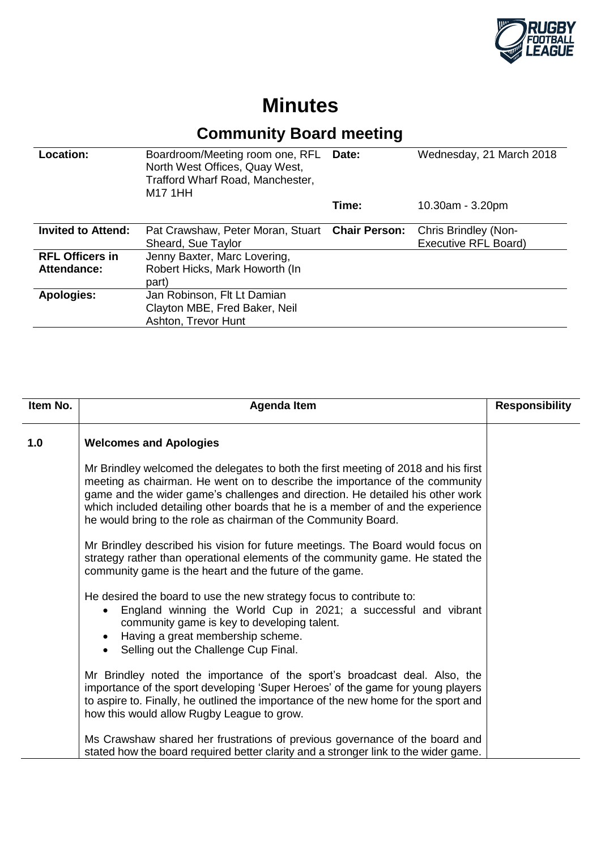

## **Minutes**

## **Community Board meeting**

| Location:                             | Boardroom/Meeting room one, RFL Date:<br>North West Offices, Quay West,<br>Trafford Wharf Road, Manchester,<br>M17 1HH |       | Wednesday, 21 March 2018                     |
|---------------------------------------|------------------------------------------------------------------------------------------------------------------------|-------|----------------------------------------------|
|                                       |                                                                                                                        | Time: | 10.30am - 3.20pm                             |
| <b>Invited to Attend:</b>             | Pat Crawshaw, Peter Moran, Stuart Chair Person:<br>Sheard, Sue Taylor                                                  |       | Chris Brindley (Non-<br>Executive RFL Board) |
| <b>RFL Officers in</b><br>Attendance: | Jenny Baxter, Marc Lovering,<br>Robert Hicks, Mark Howorth (In<br>part)                                                |       |                                              |
| <b>Apologies:</b>                     | Jan Robinson, Flt Lt Damian<br>Clayton MBE, Fred Baker, Neil<br>Ashton, Trevor Hunt                                    |       |                                              |

| Item No. | <b>Agenda Item</b>                                                                                                                                                                                                                                                                                                                                                                                       | <b>Responsibility</b> |
|----------|----------------------------------------------------------------------------------------------------------------------------------------------------------------------------------------------------------------------------------------------------------------------------------------------------------------------------------------------------------------------------------------------------------|-----------------------|
| 1.0      | <b>Welcomes and Apologies</b>                                                                                                                                                                                                                                                                                                                                                                            |                       |
|          | Mr Brindley welcomed the delegates to both the first meeting of 2018 and his first<br>meeting as chairman. He went on to describe the importance of the community<br>game and the wider game's challenges and direction. He detailed his other work<br>which included detailing other boards that he is a member of and the experience<br>he would bring to the role as chairman of the Community Board. |                       |
|          | Mr Brindley described his vision for future meetings. The Board would focus on<br>strategy rather than operational elements of the community game. He stated the<br>community game is the heart and the future of the game.                                                                                                                                                                              |                       |
|          | He desired the board to use the new strategy focus to contribute to:<br>England winning the World Cup in 2021; a successful and vibrant<br>$\bullet$<br>community game is key to developing talent.<br>Having a great membership scheme.<br>Selling out the Challenge Cup Final.                                                                                                                         |                       |
|          | Mr Brindley noted the importance of the sport's broadcast deal. Also, the<br>importance of the sport developing 'Super Heroes' of the game for young players<br>to aspire to. Finally, he outlined the importance of the new home for the sport and<br>how this would allow Rugby League to grow.                                                                                                        |                       |
|          | Ms Crawshaw shared her frustrations of previous governance of the board and<br>stated how the board required better clarity and a stronger link to the wider game.                                                                                                                                                                                                                                       |                       |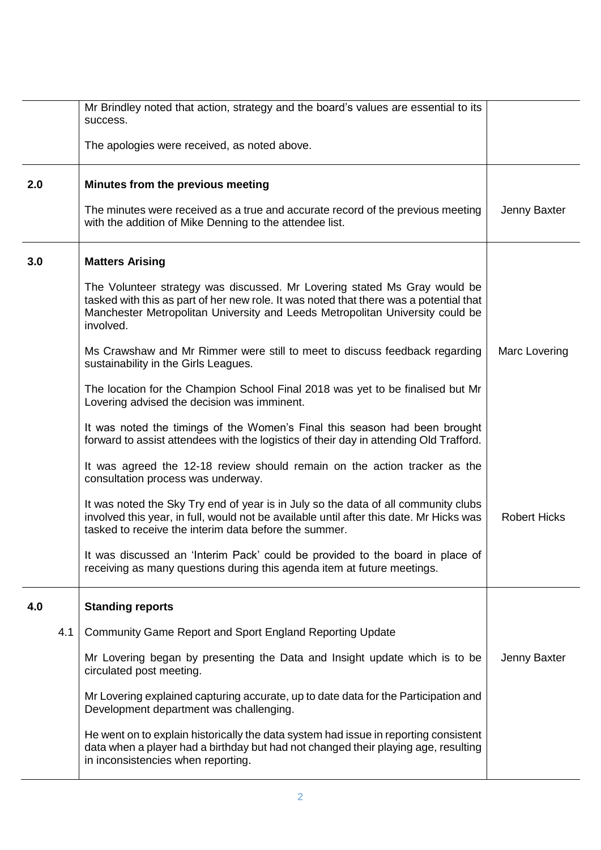|     | Mr Brindley noted that action, strategy and the board's values are essential to its<br>success.                                                                                                                                                                   |                     |
|-----|-------------------------------------------------------------------------------------------------------------------------------------------------------------------------------------------------------------------------------------------------------------------|---------------------|
|     | The apologies were received, as noted above.                                                                                                                                                                                                                      |                     |
| 2.0 | Minutes from the previous meeting                                                                                                                                                                                                                                 |                     |
|     | The minutes were received as a true and accurate record of the previous meeting<br>with the addition of Mike Denning to the attendee list.                                                                                                                        | Jenny Baxter        |
| 3.0 | <b>Matters Arising</b>                                                                                                                                                                                                                                            |                     |
|     | The Volunteer strategy was discussed. Mr Lovering stated Ms Gray would be<br>tasked with this as part of her new role. It was noted that there was a potential that<br>Manchester Metropolitan University and Leeds Metropolitan University could be<br>involved. |                     |
|     | Ms Crawshaw and Mr Rimmer were still to meet to discuss feedback regarding<br>sustainability in the Girls Leagues.                                                                                                                                                | Marc Lovering       |
|     | The location for the Champion School Final 2018 was yet to be finalised but Mr<br>Lovering advised the decision was imminent.                                                                                                                                     |                     |
|     | It was noted the timings of the Women's Final this season had been brought<br>forward to assist attendees with the logistics of their day in attending Old Trafford.                                                                                              |                     |
|     | It was agreed the 12-18 review should remain on the action tracker as the<br>consultation process was underway.                                                                                                                                                   |                     |
|     | It was noted the Sky Try end of year is in July so the data of all community clubs<br>involved this year, in full, would not be available until after this date. Mr Hicks was<br>tasked to receive the interim data before the summer.                            | <b>Robert Hicks</b> |
|     | It was discussed an 'Interim Pack' could be provided to the board in place of<br>receiving as many questions during this agenda item at future meetings.                                                                                                          |                     |
| 4.0 | <b>Standing reports</b>                                                                                                                                                                                                                                           |                     |
| 4.1 | Community Game Report and Sport England Reporting Update                                                                                                                                                                                                          |                     |
|     | Mr Lovering began by presenting the Data and Insight update which is to be<br>circulated post meeting.                                                                                                                                                            | Jenny Baxter        |
|     | Mr Lovering explained capturing accurate, up to date data for the Participation and<br>Development department was challenging.                                                                                                                                    |                     |
|     | He went on to explain historically the data system had issue in reporting consistent<br>data when a player had a birthday but had not changed their playing age, resulting<br>in inconsistencies when reporting.                                                  |                     |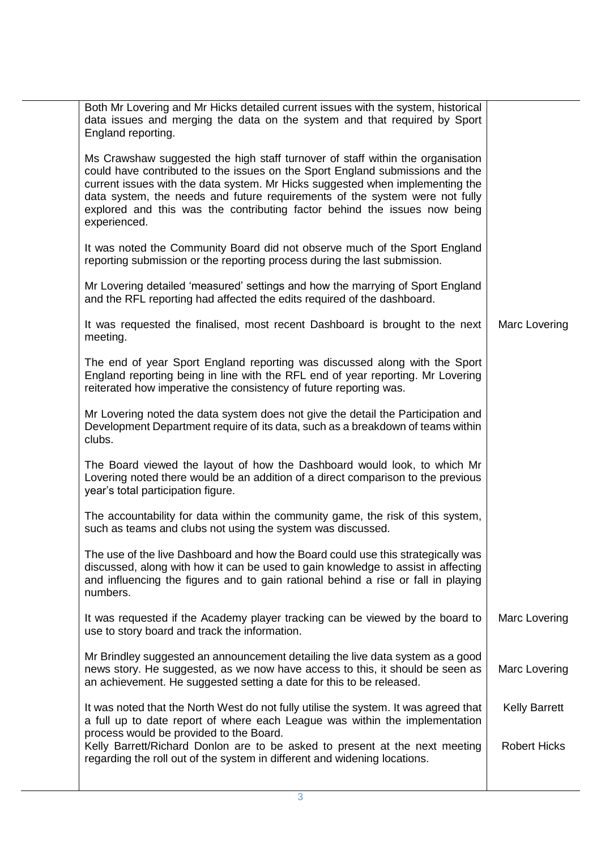| Both Mr Lovering and Mr Hicks detailed current issues with the system, historical<br>data issues and merging the data on the system and that required by Sport<br>England reporting.                                                                                                                                                                                                                                         |                      |
|------------------------------------------------------------------------------------------------------------------------------------------------------------------------------------------------------------------------------------------------------------------------------------------------------------------------------------------------------------------------------------------------------------------------------|----------------------|
| Ms Crawshaw suggested the high staff turnover of staff within the organisation<br>could have contributed to the issues on the Sport England submissions and the<br>current issues with the data system. Mr Hicks suggested when implementing the<br>data system, the needs and future requirements of the system were not fully<br>explored and this was the contributing factor behind the issues now being<br>experienced. |                      |
| It was noted the Community Board did not observe much of the Sport England<br>reporting submission or the reporting process during the last submission.                                                                                                                                                                                                                                                                      |                      |
| Mr Lovering detailed 'measured' settings and how the marrying of Sport England<br>and the RFL reporting had affected the edits required of the dashboard.                                                                                                                                                                                                                                                                    |                      |
| It was requested the finalised, most recent Dashboard is brought to the next<br>meeting.                                                                                                                                                                                                                                                                                                                                     | Marc Lovering        |
| The end of year Sport England reporting was discussed along with the Sport<br>England reporting being in line with the RFL end of year reporting. Mr Lovering<br>reiterated how imperative the consistency of future reporting was.                                                                                                                                                                                          |                      |
| Mr Lovering noted the data system does not give the detail the Participation and<br>Development Department require of its data, such as a breakdown of teams within<br>clubs.                                                                                                                                                                                                                                                |                      |
| The Board viewed the layout of how the Dashboard would look, to which Mr<br>Lovering noted there would be an addition of a direct comparison to the previous<br>year's total participation figure.                                                                                                                                                                                                                           |                      |
| The accountability for data within the community game, the risk of this system,<br>such as teams and clubs not using the system was discussed.                                                                                                                                                                                                                                                                               |                      |
| The use of the live Dashboard and how the Board could use this strategically was<br>discussed, along with how it can be used to gain knowledge to assist in affecting<br>and influencing the figures and to gain rational behind a rise or fall in playing<br>numbers.                                                                                                                                                       |                      |
| It was requested if the Academy player tracking can be viewed by the board to<br>use to story board and track the information.                                                                                                                                                                                                                                                                                               | Marc Lovering        |
| Mr Brindley suggested an announcement detailing the live data system as a good<br>news story. He suggested, as we now have access to this, it should be seen as<br>an achievement. He suggested setting a date for this to be released.                                                                                                                                                                                      | Marc Lovering        |
| It was noted that the North West do not fully utilise the system. It was agreed that<br>a full up to date report of where each League was within the implementation<br>process would be provided to the Board.                                                                                                                                                                                                               | <b>Kelly Barrett</b> |
| Kelly Barrett/Richard Donlon are to be asked to present at the next meeting<br>regarding the roll out of the system in different and widening locations.                                                                                                                                                                                                                                                                     | <b>Robert Hicks</b>  |
|                                                                                                                                                                                                                                                                                                                                                                                                                              |                      |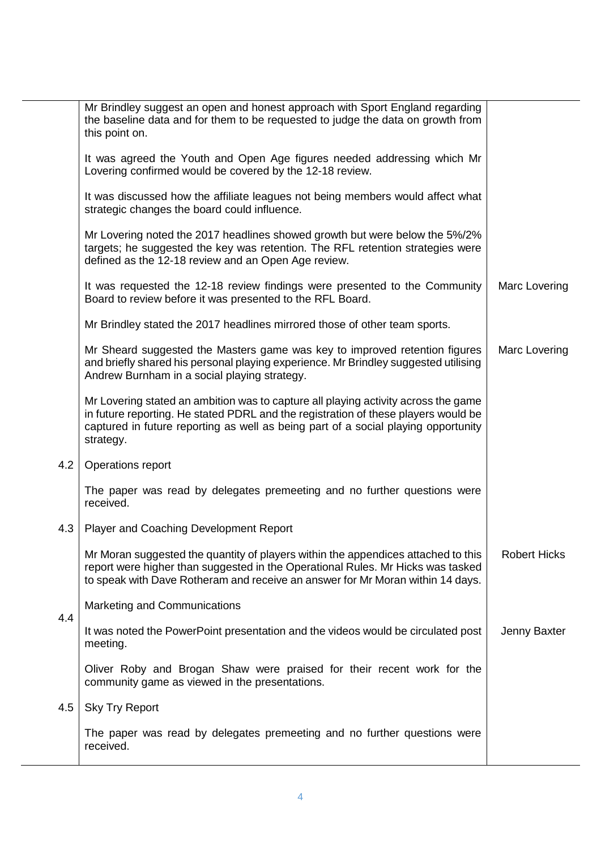|     | Mr Brindley suggest an open and honest approach with Sport England regarding<br>the baseline data and for them to be requested to judge the data on growth from<br>this point on.                                                                                           |                     |
|-----|-----------------------------------------------------------------------------------------------------------------------------------------------------------------------------------------------------------------------------------------------------------------------------|---------------------|
|     | It was agreed the Youth and Open Age figures needed addressing which Mr<br>Lovering confirmed would be covered by the 12-18 review.                                                                                                                                         |                     |
|     | It was discussed how the affiliate leagues not being members would affect what<br>strategic changes the board could influence.                                                                                                                                              |                     |
|     | Mr Lovering noted the 2017 headlines showed growth but were below the 5%/2%<br>targets; he suggested the key was retention. The RFL retention strategies were<br>defined as the 12-18 review and an Open Age review.                                                        |                     |
|     | It was requested the 12-18 review findings were presented to the Community<br>Board to review before it was presented to the RFL Board.                                                                                                                                     | Marc Lovering       |
|     | Mr Brindley stated the 2017 headlines mirrored those of other team sports.                                                                                                                                                                                                  |                     |
|     | Mr Sheard suggested the Masters game was key to improved retention figures<br>and briefly shared his personal playing experience. Mr Brindley suggested utilising<br>Andrew Burnham in a social playing strategy.                                                           | Marc Lovering       |
|     | Mr Lovering stated an ambition was to capture all playing activity across the game<br>in future reporting. He stated PDRL and the registration of these players would be<br>captured in future reporting as well as being part of a social playing opportunity<br>strategy. |                     |
| 4.2 | Operations report                                                                                                                                                                                                                                                           |                     |
|     | The paper was read by delegates premeeting and no further questions were<br>received.                                                                                                                                                                                       |                     |
| 4.3 | <b>Player and Coaching Development Report</b>                                                                                                                                                                                                                               |                     |
|     | Mr Moran suggested the quantity of players within the appendices attached to this<br>report were higher than suggested in the Operational Rules. Mr Hicks was tasked<br>to speak with Dave Rotheram and receive an answer for Mr Moran within 14 days.                      | <b>Robert Hicks</b> |
|     | <b>Marketing and Communications</b>                                                                                                                                                                                                                                         |                     |
| 4.4 | It was noted the PowerPoint presentation and the videos would be circulated post<br>meeting.                                                                                                                                                                                | Jenny Baxter        |
|     | Oliver Roby and Brogan Shaw were praised for their recent work for the<br>community game as viewed in the presentations.                                                                                                                                                    |                     |
| 4.5 | <b>Sky Try Report</b>                                                                                                                                                                                                                                                       |                     |
|     | The paper was read by delegates premeeting and no further questions were<br>received.                                                                                                                                                                                       |                     |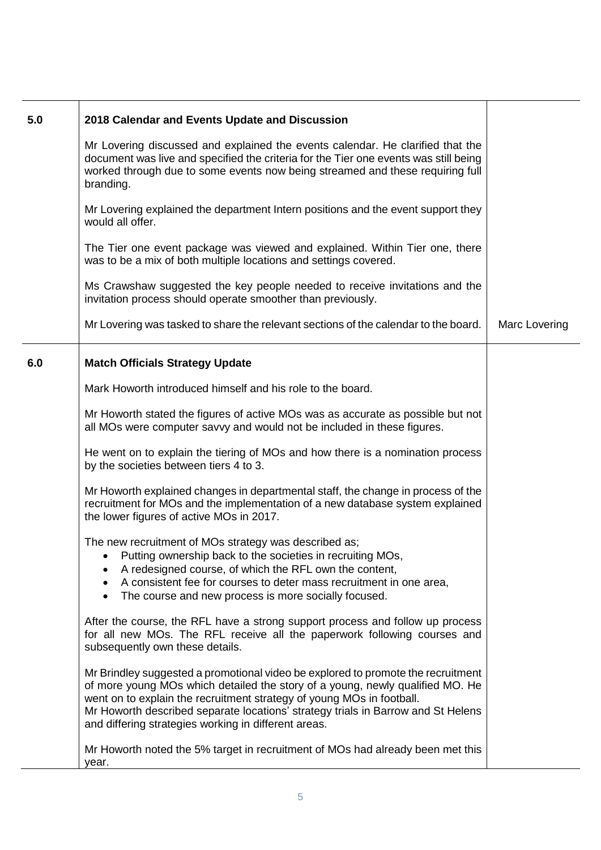| 5.0 | 2018 Calendar and Events Update and Discussion                                                                                                                                                                                                                                                                                                                                         |               |
|-----|----------------------------------------------------------------------------------------------------------------------------------------------------------------------------------------------------------------------------------------------------------------------------------------------------------------------------------------------------------------------------------------|---------------|
|     | Mr Lovering discussed and explained the events calendar. He clarified that the<br>document was live and specified the criteria for the Tier one events was still being<br>worked through due to some events now being streamed and these requiring full<br>branding.                                                                                                                   |               |
|     | Mr Lovering explained the department Intern positions and the event support they<br>would all offer.                                                                                                                                                                                                                                                                                   |               |
|     | The Tier one event package was viewed and explained. Within Tier one, there<br>was to be a mix of both multiple locations and settings covered.                                                                                                                                                                                                                                        |               |
|     | Ms Crawshaw suggested the key people needed to receive invitations and the<br>invitation process should operate smoother than previously.                                                                                                                                                                                                                                              |               |
|     | Mr Lovering was tasked to share the relevant sections of the calendar to the board.                                                                                                                                                                                                                                                                                                    | Marc Lovering |
| 6.0 | <b>Match Officials Strategy Update</b>                                                                                                                                                                                                                                                                                                                                                 |               |
|     | Mark Howorth introduced himself and his role to the board.                                                                                                                                                                                                                                                                                                                             |               |
|     | Mr Howorth stated the figures of active MOs was as accurate as possible but not<br>all MOs were computer savvy and would not be included in these figures.                                                                                                                                                                                                                             |               |
|     | He went on to explain the tiering of MOs and how there is a nomination process<br>by the societies between tiers 4 to 3.                                                                                                                                                                                                                                                               |               |
|     | Mr Howorth explained changes in departmental staff, the change in process of the<br>recruitment for MOs and the implementation of a new database system explained<br>the lower figures of active MOs in 2017.                                                                                                                                                                          |               |
|     | The new recruitment of MOs strategy was described as;<br>Putting ownership back to the societies in recruiting MOs,<br>A redesigned course, of which the RFL own the content,<br>A consistent fee for courses to deter mass recruitment in one area,<br>The course and new process is more socially focused.                                                                           |               |
|     | After the course, the RFL have a strong support process and follow up process<br>for all new MOs. The RFL receive all the paperwork following courses and<br>subsequently own these details.                                                                                                                                                                                           |               |
|     | Mr Brindley suggested a promotional video be explored to promote the recruitment<br>of more young MOs which detailed the story of a young, newly qualified MO. He<br>went on to explain the recruitment strategy of young MOs in football.<br>Mr Howorth described separate locations' strategy trials in Barrow and St Helens<br>and differing strategies working in different areas. |               |
|     | Mr Howorth noted the 5% target in recruitment of MOs had already been met this<br>year.                                                                                                                                                                                                                                                                                                |               |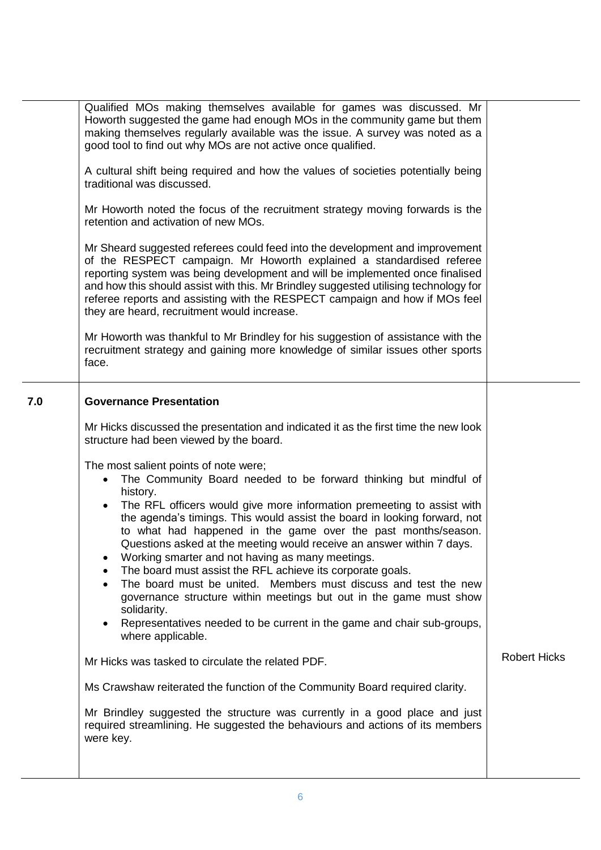| Qualified MOs making themselves available for games was discussed. Mr<br>Howorth suggested the game had enough MOs in the community game but them<br>making themselves regularly available was the issue. A survey was noted as a<br>good tool to find out why MOs are not active once qualified.<br>A cultural shift being required and how the values of societies potentially being<br>traditional was discussed.<br>Mr Howorth noted the focus of the recruitment strategy moving forwards is the<br>retention and activation of new MOs.<br>Mr Sheard suggested referees could feed into the development and improvement<br>of the RESPECT campaign. Mr Howorth explained a standardised referee<br>reporting system was being development and will be implemented once finalised<br>and how this should assist with this. Mr Brindley suggested utilising technology for<br>referee reports and assisting with the RESPECT campaign and how if MOs feel<br>they are heard, recruitment would increase.<br>Mr Howorth was thankful to Mr Brindley for his suggestion of assistance with the<br>recruitment strategy and gaining more knowledge of similar issues other sports<br>face.<br><b>Governance Presentation</b><br>Mr Hicks discussed the presentation and indicated it as the first time the new look<br>structure had been viewed by the board.<br>The most salient points of note were;<br>The Community Board needed to be forward thinking but mindful of<br>$\bullet$<br>history.<br>The RFL officers would give more information premeeting to assist with<br>$\bullet$<br>the agenda's timings. This would assist the board in looking forward, not<br>to what had happened in the game over the past months/season.<br>Questions asked at the meeting would receive an answer within 7 days.<br>Working smarter and not having as many meetings.<br>٠<br>The board must assist the RFL achieve its corporate goals.<br>The board must be united. Members must discuss and test the new<br>governance structure within meetings but out in the game must show<br>solidarity.<br>Representatives needed to be current in the game and chair sub-groups,<br>$\bullet$<br>where applicable.<br><b>Robert Hicks</b><br>Mr Hicks was tasked to circulate the related PDF.<br>Ms Crawshaw reiterated the function of the Community Board required clarity.<br>Mr Brindley suggested the structure was currently in a good place and just<br>required streamlining. He suggested the behaviours and actions of its members<br>were key. |     |  |
|--------------------------------------------------------------------------------------------------------------------------------------------------------------------------------------------------------------------------------------------------------------------------------------------------------------------------------------------------------------------------------------------------------------------------------------------------------------------------------------------------------------------------------------------------------------------------------------------------------------------------------------------------------------------------------------------------------------------------------------------------------------------------------------------------------------------------------------------------------------------------------------------------------------------------------------------------------------------------------------------------------------------------------------------------------------------------------------------------------------------------------------------------------------------------------------------------------------------------------------------------------------------------------------------------------------------------------------------------------------------------------------------------------------------------------------------------------------------------------------------------------------------------------------------------------------------------------------------------------------------------------------------------------------------------------------------------------------------------------------------------------------------------------------------------------------------------------------------------------------------------------------------------------------------------------------------------------------------------------------------------------------------------------------------------------------------------------------------------------------------------------------------------------------------------------------------------------------------------------------------------------------------------------------------------------------------------------------------------------------------------------------------------------------------------------------------------------------------------------------------------------------------------------------------------------|-----|--|
|                                                                                                                                                                                                                                                                                                                                                                                                                                                                                                                                                                                                                                                                                                                                                                                                                                                                                                                                                                                                                                                                                                                                                                                                                                                                                                                                                                                                                                                                                                                                                                                                                                                                                                                                                                                                                                                                                                                                                                                                                                                                                                                                                                                                                                                                                                                                                                                                                                                                                                                                                        |     |  |
|                                                                                                                                                                                                                                                                                                                                                                                                                                                                                                                                                                                                                                                                                                                                                                                                                                                                                                                                                                                                                                                                                                                                                                                                                                                                                                                                                                                                                                                                                                                                                                                                                                                                                                                                                                                                                                                                                                                                                                                                                                                                                                                                                                                                                                                                                                                                                                                                                                                                                                                                                        |     |  |
|                                                                                                                                                                                                                                                                                                                                                                                                                                                                                                                                                                                                                                                                                                                                                                                                                                                                                                                                                                                                                                                                                                                                                                                                                                                                                                                                                                                                                                                                                                                                                                                                                                                                                                                                                                                                                                                                                                                                                                                                                                                                                                                                                                                                                                                                                                                                                                                                                                                                                                                                                        | 7.0 |  |
|                                                                                                                                                                                                                                                                                                                                                                                                                                                                                                                                                                                                                                                                                                                                                                                                                                                                                                                                                                                                                                                                                                                                                                                                                                                                                                                                                                                                                                                                                                                                                                                                                                                                                                                                                                                                                                                                                                                                                                                                                                                                                                                                                                                                                                                                                                                                                                                                                                                                                                                                                        |     |  |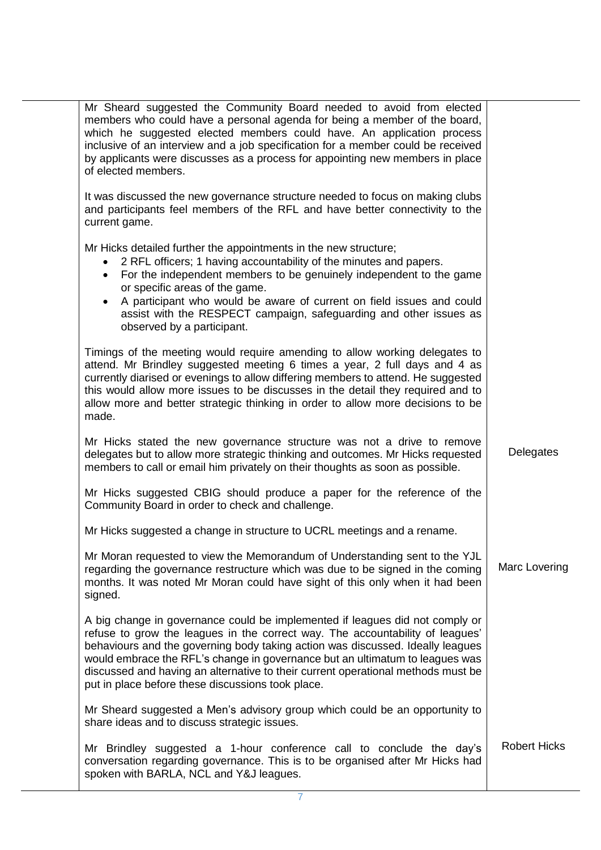| Mr Sheard suggested the Community Board needed to avoid from elected<br>members who could have a personal agenda for being a member of the board,<br>which he suggested elected members could have. An application process<br>inclusive of an interview and a job specification for a member could be received<br>by applicants were discusses as a process for appointing new members in place<br>of elected members.                                                   |                     |
|--------------------------------------------------------------------------------------------------------------------------------------------------------------------------------------------------------------------------------------------------------------------------------------------------------------------------------------------------------------------------------------------------------------------------------------------------------------------------|---------------------|
| It was discussed the new governance structure needed to focus on making clubs<br>and participants feel members of the RFL and have better connectivity to the<br>current game.                                                                                                                                                                                                                                                                                           |                     |
| Mr Hicks detailed further the appointments in the new structure;<br>2 RFL officers; 1 having accountability of the minutes and papers.<br>For the independent members to be genuinely independent to the game<br>or specific areas of the game.<br>A participant who would be aware of current on field issues and could<br>assist with the RESPECT campaign, safeguarding and other issues as<br>observed by a participant.                                             |                     |
| Timings of the meeting would require amending to allow working delegates to<br>attend. Mr Brindley suggested meeting 6 times a year, 2 full days and 4 as<br>currently diarised or evenings to allow differing members to attend. He suggested<br>this would allow more issues to be discusses in the detail they required and to<br>allow more and better strategic thinking in order to allow more decisions to be<br>made.                                            |                     |
| Mr Hicks stated the new governance structure was not a drive to remove<br>delegates but to allow more strategic thinking and outcomes. Mr Hicks requested<br>members to call or email him privately on their thoughts as soon as possible.                                                                                                                                                                                                                               | Delegates           |
| Mr Hicks suggested CBIG should produce a paper for the reference of the<br>Community Board in order to check and challenge.                                                                                                                                                                                                                                                                                                                                              |                     |
| Mr Hicks suggested a change in structure to UCRL meetings and a rename.                                                                                                                                                                                                                                                                                                                                                                                                  |                     |
| Mr Moran requested to view the Memorandum of Understanding sent to the YJL<br>regarding the governance restructure which was due to be signed in the coming<br>months. It was noted Mr Moran could have sight of this only when it had been<br>signed.                                                                                                                                                                                                                   | Marc Lovering       |
| A big change in governance could be implemented if leagues did not comply or<br>refuse to grow the leagues in the correct way. The accountability of leagues'<br>behaviours and the governing body taking action was discussed. Ideally leagues<br>would embrace the RFL's change in governance but an ultimatum to leagues was<br>discussed and having an alternative to their current operational methods must be<br>put in place before these discussions took place. |                     |
| Mr Sheard suggested a Men's advisory group which could be an opportunity to<br>share ideas and to discuss strategic issues.                                                                                                                                                                                                                                                                                                                                              |                     |
| Mr Brindley suggested a 1-hour conference call to conclude the day's<br>conversation regarding governance. This is to be organised after Mr Hicks had<br>spoken with BARLA, NCL and Y&J leagues.                                                                                                                                                                                                                                                                         | <b>Robert Hicks</b> |